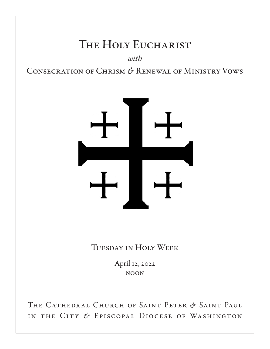# THE HOLY EUCHARIST

### *with*

Consecration of Chrism *&* Renewal of Ministry Vows



## Tuesday in Holy Week

April 12, 2022 noon

The Cathedral Church of Saint Peter *&* Saint Paul IN THE CITY & EPISCOPAL DIOCESE OF WASHINGTON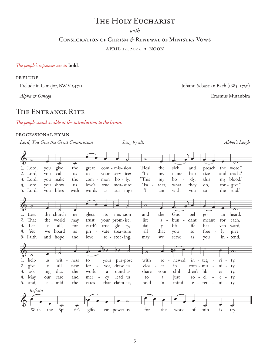## THE HOLY EUCHARIST

*with*

Consecration of Chrism *&* Renewal of Ministry Vows

april 12, 2022 • noon

*The people's repsonses are in* bold*.*

prelude

### The Entrance Rite

*The people stand as able at the introduction to the hymn.*

#### processional hymn

*Lord, You Give the Great Commission Sung by all. Abbot's Leigh* 

|            |                                 |            |           |                                 |      |                     | $\sigma$                         |                                |                                |                   |                             |                |                                                                                                                                                                                                                                                                                                                                                          |
|------------|---------------------------------|------------|-----------|---------------------------------|------|---------------------|----------------------------------|--------------------------------|--------------------------------|-------------------|-----------------------------|----------------|----------------------------------------------------------------------------------------------------------------------------------------------------------------------------------------------------------------------------------------------------------------------------------------------------------------------------------------------------------|
|            |                                 |            |           |                                 |      |                     |                                  |                                |                                |                   |                             |                |                                                                                                                                                                                                                                                                                                                                                          |
| 1. Lord,   | you                             | give       | the       | great                           |      | com - mis-sion:     | "Heal                            | the                            | sick                           | and               | preach                      |                | the word."                                                                                                                                                                                                                                                                                                                                               |
| 2. Lord,   | you                             | call       | <b>us</b> | to                              |      | your serv-ice:      | "In                              | my                             | name                           | $bap -$           | tize                        |                | and teach."                                                                                                                                                                                                                                                                                                                                              |
| 3. Lord,   |                                 | you make   | the       | com - mon                       |      | $ho - ly:$          | "This                            | my                             | $\frac{1}{2}$ bo $\frac{1}{2}$ | dy,               | this                        |                | my blood."                                                                                                                                                                                                                                                                                                                                               |
| 4. Lord,   | you                             | show       | us        | love's                          | true | mea-sure:           | "Fa -                            | ther,                          | what                           | they              | do,                         |                | for - $\theta$ = $\theta$ = $\theta$ = $\theta$ = $\theta$ = $\theta$ = $\theta$ = $\theta$ = $\theta$ = $\theta$ = $\theta$ = $\theta$ = $\theta$ = $\theta$ = $\theta$ = $\theta$ = $\theta$ = $\theta$ = $\theta$ = $\theta$ = $\theta$ = $\theta$ = $\theta$ = $\theta$ = $\theta$ = $\theta$ = $\theta$ = $\theta$ = $\theta$ = $\theta$ = $\theta$ |
| 5. Lord,   |                                 | you bless  | with      | words                           |      | $as - sur - ing:$   | $\mathbf{I}$ "                   | am                             | with                           | you               | to                          |                | the end."                                                                                                                                                                                                                                                                                                                                                |
|            |                                 |            |           |                                 |      |                     |                                  |                                |                                |                   |                             |                |                                                                                                                                                                                                                                                                                                                                                          |
|            |                                 |            |           |                                 |      |                     |                                  |                                |                                |                   |                             |                |                                                                                                                                                                                                                                                                                                                                                          |
|            |                                 |            |           |                                 |      |                     | O                                |                                |                                |                   |                             |                |                                                                                                                                                                                                                                                                                                                                                          |
| Lest       |                                 | the church | ne -      | glect                           | its  | mis-sion            | and                              | the                            | $Gos -$                        | pel               | go                          |                | un - heard,                                                                                                                                                                                                                                                                                                                                              |
| That<br>2. |                                 | the world  | may       | trust                           |      | your prom-ise,      | life                             | a<br>$\overline{\phantom{a}}$  | $bun -$                        | dant              | meant                       |                | for each,                                                                                                                                                                                                                                                                                                                                                |
| 3.         |                                 |            |           |                                 |      |                     |                                  |                                | lift                           | life              |                             |                |                                                                                                                                                                                                                                                                                                                                                          |
| Let        | <b>us</b>                       | all,       | for       | earth's                         | true | $g$ lo - ry,        | dai<br>$\overline{\phantom{a}}$  | $\rm_{ly}$                     |                                |                   | hea -                       |                | ven - ward,                                                                                                                                                                                                                                                                                                                                              |
| Yet<br>4.  | we                              | hoard      | as        | pri -                           | vate | trea-sure           | all                              | that                           | you                            | <b>SO</b>         | free<br>$\sim$              | $\rm l y$      | give.                                                                                                                                                                                                                                                                                                                                                    |
| 5. Faith   |                                 | and hope   | and       | love                            |      | $re - stor - ing$ , | may                              | we                             | serve                          | as                | you                         |                | in - tend,                                                                                                                                                                                                                                                                                                                                               |
|            |                                 |            |           |                                 |      |                     |                                  |                                |                                |                   |                             |                |                                                                                                                                                                                                                                                                                                                                                          |
|            |                                 |            |           |                                 |      |                     |                                  |                                |                                |                   |                             |                |                                                                                                                                                                                                                                                                                                                                                          |
|            |                                 |            |           |                                 |      |                     |                                  |                                |                                |                   |                             |                |                                                                                                                                                                                                                                                                                                                                                          |
| help       | us                              | $wit -$    | ness      | $\mathop{\rm to}\nolimits$      | your | pur-pose            | with                             | re<br>$\overline{\phantom{a}}$ | newed                          | in - teg          | $\equiv$                    | ri -           | ty.                                                                                                                                                                                                                                                                                                                                                      |
| give<br>2. | <b>us</b>                       | all        | new       | fer<br>$\sim$ $-$               |      | vor, draw us        | clos<br>$\overline{\phantom{a}}$ | er                             | in                             | com - mu          |                             | $- ni - ty.$   |                                                                                                                                                                                                                                                                                                                                                          |
| ask<br>3.  | ing<br>$\overline{\phantom{a}}$ | that       | the       | world                           |      | a - round us        | share                            | your                           |                                | chil - dren's lib |                             | $-$ er $-$ ty. |                                                                                                                                                                                                                                                                                                                                                          |
| May<br>4.  | our                             | care       | and       | mer<br>$\overline{\phantom{a}}$ | cy   | lead us             | to                               | a                              | just                           | $so - ci$         | $\overline{\phantom{a}}$    | $e - ty$       |                                                                                                                                                                                                                                                                                                                                                          |
| and,<br>5. |                                 | a - mid    | the       | cares                           |      | that claim us,      | hold                             | in                             | mind                           |                   | $e$ - $ter$ - $ni$ - $ty$ . |                |                                                                                                                                                                                                                                                                                                                                                          |
|            | Refrain                         |            |           |                                 |      |                     |                                  |                                |                                |                   |                             |                |                                                                                                                                                                                                                                                                                                                                                          |
|            |                                 |            |           |                                 |      |                     |                                  |                                |                                |                   |                             |                |                                                                                                                                                                                                                                                                                                                                                          |
|            |                                 |            |           | Þ€                              |      |                     |                                  |                                |                                |                   |                             |                |                                                                                                                                                                                                                                                                                                                                                          |
|            |                                 |            |           |                                 |      |                     |                                  |                                |                                |                   |                             |                | ⋥                                                                                                                                                                                                                                                                                                                                                        |
|            | With<br>the                     | $Spi -$    | rit's     | gifts                           |      | em - power us       | for                              | the                            | work                           | of                | $min - is - try.$           |                |                                                                                                                                                                                                                                                                                                                                                          |

Prelude in C major, BWV 547/I Johann Sebastian Bach (1685–1750)

*Alpha & Omega* Erasmus Mutanbira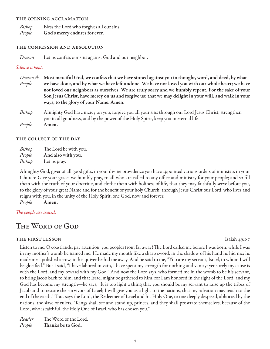#### the opening acclamation

*Bishop* Bless the Lord who forgives all our sins. *People* God's mercy endures for ever.

#### the confession and absolution

*Deacon* Let us confess our sins against God and our neighbor.

#### *Silence is kept.*

- *Deacon* & Most merciful God, we confess that we have sinned against you in thought, word, and deed, by what *People* we have done, and by what we have left undone. We have not loved you with our whole heart; we have not loved our neighbors as ourselves. We are truly sorry and we humbly repent. For the sake of your Son Jesus Christ, have mercy on us and forgive us; that we may delight in your will, and walk in your ways, to the glory of your Name. Amen.
- *Bishop* Almighty God have mercy on you, forgive you all your sins through our Lord Jesus Christ, strengthen you in all goodness, and by the power of the Holy Spirit, keep you in eternal life. *People* Amen.

#### the collect of the day

*Bishop* The Lord be with you. *People* And also with you. *Bishop* Let us pray.

Almighty God, giver of all good gifts, in your divine providence you have appointed various orders of ministers in your Church: Give your grace, we humbly pray, to all who are called to any office and ministry for your people; and so fill them with the truth of your doctrine, and clothe them with holiness of life, that they may faithfully serve before you, to the glory of your great Name and for the benefit of your holy Church; through Jesus Christ our Lord, who lives and reigns with you, in the unity of the Holy Spirit, one God, now and forever.

*People* Amen.

#### *The people are seated.*

### The Word of God

#### **THE FIRST LESSON** Isaiah 49:1-7

Listen to me, O coastlands, pay attention, you peoples from far away! The Lord called me before I was born, while I was in my mother's womb he named me. He made my mouth like a sharp sword, in the shadow of his hand he hid me; he made me a polished arrow, in his quiver he hid me away. And he said to me, "You are my servant, Israel, in whom I will be glorified." But I said, "I have labored in vain, I have spent my strength for nothing and vanity; yet surely my cause is with the Lord, and my reward with my God." And now the Lord says, who formed me in the womb to be his servant, to bring Jacob back to him, and that Israel might be gathered to him, for I am honored in the sight of the Lord, and my God has become my strength—he says, "It is too light a thing that you should be my servant to raise up the tribes of Jacob and to restore the survivors of Israel; I will give you as a light to the nations, that my salvation may reach to the end of the earth." Thus says the Lord, the Redeemer of Israel and his Holy One, to one deeply despised, abhorred by the nations, the slave of rulers, "Kings shall see and stand up, princes, and they shall prostrate themselves, because of the Lord, who is faithful, the Holy One of Israel, who has chosen you."

*Reader* The Word of the Lord. *People* Thanks be to God.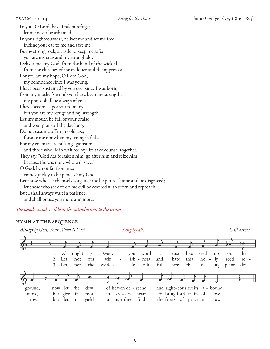In you, O Lord, have I taken refuge; let me never be ashamed. In your righteousness, deliver me and set me free; incline your ear to me and save me. Be my strong rock, a castle to keep me safe; you are my crag and my stronghold. Deliver me, my God, from the hand of the wicked, from the clutches of the evildoer and the oppressor. For you are my hope, O Lord God, my confidence since I was young. I have been sustained by you ever since I was born; from my mother's womb you have been my strength; my praise shall be always of you. I have become a portent to many; but you are my refuge and my strength. Let my mouth be full of your praise and your glory all the day long. Do not cast me off in my old age; forsake me not when my strength fails. For my enemies are talking against me, and those who lie in wait for my life take counsel together. They say, "God has forsaken him; go after him and seize him; because there is none who will save." O God, be not far from me; come quickly to help me, O my God. Let those who set themselves against me be put to shame and be disgraced; let those who seek to do me evil be covered with scorn and reproach. But I shall always wait in patience, and shall praise you more and more.

### *The people stand as able at the introduction to the hymn.*

#### hymn at the sequence

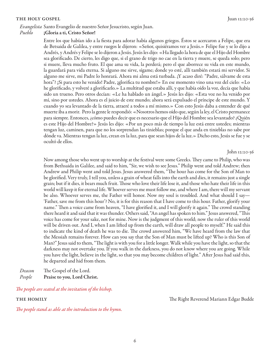#### THE HOLY GOSPEL Juan 12:20-36

*Evangelista* Santo Evangelio de nuestro Señor Jesucristo, según Juan.

#### *Pueblo* ¡Gloria a ti, Cristo Señor!

Entre los que habían ido a la fiesta para adorar había algunos griegos. Éstos se acercaron a Felipe, que era de Betsaida de Galilea, y entre ruegos le dijeron: «Señor, quisiéramos ver a Jesús.» Felipe fue y se lo dijo a Andrés, y Andrés y Felipe se lo dijeron a Jesús. Jesús les dijo: «Ha llegado la hora de que el Hijo del Hombre sea glorificado. De cierto, les digo que, si el grano de trigo no cae en la tierra y muere, se queda solo; pero si muere, lleva mucho fruto. El que ama su vida, la perderá; pero el que aborrece su vida en este mundo, la guardará para vida eterna. Si alguno me sirve, sígame; donde yo esté, allí también estará mi servidor. Si alguno me sirve, mi Padre lo honrará. Ahora mi alma está turbada. ¿Y acaso diré: "Padre, sálvame de esta hora"? ¡Si para esto he venido! Padre, ¡glorifica tu nombre!» En ese momento vino una voz del cielo: «Lo he glorificado, y volveré a glorificarlo.» La multitud que estaba allí, y que había oído la voz, decía que había sido un trueno. Pero otros decían: «Le ha hablado un ángel.» Jesús les dijo: «Esta voz no ha venido por mí, sino por ustedes. Ahora es el juicio de este mundo; ahora será expulsado el príncipe de este mundo. Y cuando yo sea levantado de la tierra, atraeré a todos a mí mismo.» Con esto Jesús daba a entender de qué muerte iba a morir. Pero la gente le respondió: «Nosotros hemos oído que, según la ley, el Cristo permanece para siempre. Entonces, ¿cómo puedes decir que es necesario que el Hijo del Hombre sea levantado? ¿Quién es este Hijo del Hombre?» Jesús les dijo: «Por un poco más de tiempo la luz está entre ustedes; mientras tengan luz, caminen, para que no los sorprendan las tinieblas; porque el que anda en tinieblas no sabe por dónde va. Mientras tengan la luz, crean en la luz, para que sean hijos de la luz.» Dicho esto, Jesús se fue y se ocultó de ellos.

#### John 12:20-36

Now among those who went up to worship at the festival were some Greeks. They came to Philip, who was from Bethsaida in Galilee, and said to him, "Sir, we wish to see Jesus." Philip went and told Andrew; then Andrew and Philip went and told Jesus. Jesus answered them, "The hour has come for the Son of Man to be glorified. Very truly, I tell you, unless a grain of wheat falls into the earth and dies, it remains just a single grain; but if it dies, it bears much fruit. Those who love their life lose it, and those who hate their life in this world will keep it for eternal life. Whoever serves me must follow me, and where I am, there will my servant be also. Whoever serves me, the Father will honor. Now my soul is troubled. And what should I say— 'Father, save me from this hour'? No, it is for this reason that I have come to this hour. Father, glorify your name." Then a voice came from heaven, "I have glorified it, and I will glorify it again." The crowd standing there heard it and said that it was thunder. Others said, "An angel has spoken to him." Jesus answered, "This voice has come for your sake, not for mine. Now is the judgment of this world; now the ruler of this world will be driven out. And I, when I am lifted up from the earth, will draw all people to myself." He said this to indicate the kind of death he was to die. The crowd answered him, "We have heard from the law that the Messiah remains forever. How can you say that the Son of Man must be lifted up? Who is this Son of Man?" Jesus said to them, "The light is with you for a little longer. Walk while you have the light, so that the darkness may not overtake you. If you walk in the darkness, you do not know where you are going. While you have the light, believe in the light, so that you may become children of light." After Jesus had said this, he departed and hid from them.

*Deacon* The Gospel of the Lord. *People* Praise to you, Lord Christ.

*The people are seated at the invitation of the bishop.*

the homily The Right Reverend Mariann Edgar Budde

*The people stand as able at the introduction to the hymn.*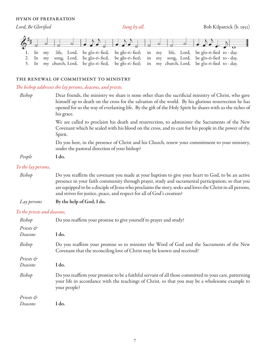hymn of preparation



#### the renewal of commitment to ministry

#### *The bishop addresses the lay persons, deacons, and priests.*

*Bishop* Dear friends, the ministry we share is none other than the sacrificial ministry of Christ, who gave himself up to death on the cross for the salvation of the world. By his glorious resurrection he has opened for us the way of everlasting life. By the gift of the Holy Spirit he shares with us the riches of his grace.

> We are called to proclaim his death and resurrection, to administer the Sacraments of the New Covenant which he sealed with his blood on the cross, and to care for his people in the power of the Spirit.

> Do you here, in the presence of Christ and his Church, renew your commitment to your ministry, under the pastoral direction of your bishop?

#### *People* I do.

#### *To the lay persons,*

*Bishop* Do you reaffirm the covenant you made at your baptism to give your heart to God, to be an active presence in your faith community through prayer, study and sacramental participation; so that you are equipped to be a disciple of Jesus who proclaims the story, seeks and loves the Christ in all persons, and strives for justice, peace, and respect for all of God's creation?

*Lay persons* By the help of God, I do.

#### *To the priests and deacons,*

| Bishop               | Do you reaffirm your promise to give yourself to prayer and study?                                                                                                                                                       |
|----------------------|--------------------------------------------------------------------------------------------------------------------------------------------------------------------------------------------------------------------------|
| Priests &<br>Deacons | I do.                                                                                                                                                                                                                    |
| Bishop               | Do you reaffirm your promise so to minister the Word of God and the Sacraments of the New<br>Covenant that the reconciling love of Christ may be known and received?                                                     |
| Priests &            |                                                                                                                                                                                                                          |
| Deacons              | I do.                                                                                                                                                                                                                    |
| Bishop               | Do you reaffirm your promise to be a faithful servant of all those committed to your care, patterning<br>your life in accordance with the teachings of Christ, so that you may be a wholesome example to<br>your people? |
| Priests &            |                                                                                                                                                                                                                          |
| Deacons              | I do.                                                                                                                                                                                                                    |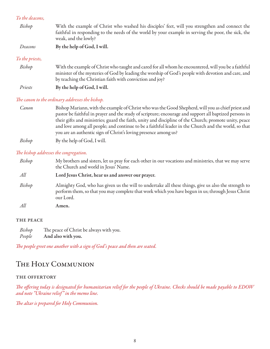#### *To the deacons,*

| Bishop          | With the example of Christ who washed his disciples' feet, will you strengthen and connect the<br>faithful in responding to the needs of the world by your example in serving the poor, the sick, the<br>weak, and the lowly?                                          |
|-----------------|------------------------------------------------------------------------------------------------------------------------------------------------------------------------------------------------------------------------------------------------------------------------|
| Deacons         | By the help of God, I will.                                                                                                                                                                                                                                            |
| To the priests, |                                                                                                                                                                                                                                                                        |
| Bishop          | With the example of Christ who taught and cared for all whom he encountered, will you be a faithful<br>minister of the mysteries of God by leading the worship of God's people with devotion and care, and<br>by teaching the Christian faith with conviction and joy? |
| Priests         | By the help of God, I will.                                                                                                                                                                                                                                            |

#### *The canon to the ordinary addresses the bishop.*

| Canon  | Bishop Mariann, with the example of Christ who was the Good Shepherd, will you as chief priest and     |
|--------|--------------------------------------------------------------------------------------------------------|
|        | pastor be faithful in prayer and the study of scripture; encourage and support all baptized persons in |
|        | their gifts and ministries; guard the faith, unity and discipline of the Church; promote unity, peace  |
|        | and love among all people; and continue to be a faithful leader in the Church and the world, so that   |
|        | you are an authentic sign of Christ's loving presence among us?                                        |
| Bishop | By the help of God, I will.                                                                            |

#### *The bishop addresses the congregation.*

| Bishop | My brothers and sisters, let us pray for each other in our vocations and ministries, that we may serve<br>the Church and world in Jesus' Name.                                                                        |
|--------|-----------------------------------------------------------------------------------------------------------------------------------------------------------------------------------------------------------------------|
| All    | Lord Jesus Christ, hear us and answer our prayer.                                                                                                                                                                     |
| Bishop | Almighty God, who has given us the will to undertake all these things, give us also the strength to<br>perform them, so that you may complete that work which you have begun in us; through Jesus Christ<br>our Lord. |
| All    | Amen.                                                                                                                                                                                                                 |

#### THE PEACE

*Bishop* The peace of Christ be always with you. *People* And also with you.

*The people greet one another with a sign of God's peace and then are seated.*

### The Holy Communion

#### THE OFFERTORY

*The offering today is designated for humanitarian relief for the people of Ukraine. Checks should be made payable to EDOW and note "Ukraine relief " in the memo line.* 

*The altar is prepared for Holy Communion.*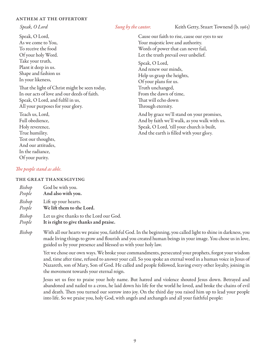#### anthem at the offertory

Speak, O Lord, As we come to You, To receive the food Of your holy Word. Take your truth, Plant it deep in us. Shape and fashion us In your likeness,

That the light of Christ might be seen today, In our acts of love and our deeds of faith. Speak, O Lord, and fulfil in us, All your purposes for your glory.

Teach us, Lord, Full obedience, Holy reverence, True humility. Test our thoughts, And our attitudes, In the radiance, Of your purity.

*Speak, O Lord Sung by the cantor.* Keith Getty, Stuart Townend (b. 1963)

Cause our faith to rise, cause our eyes to see Your majestic love and authority. Words of power that can never fail, Let the truth prevail over unbelief.

Speak, O Lord, And renew our minds, Help us grasp the heights, Of your plans for us. Truth unchanged, From the dawn of time, That will echo down Through eternity.

And by grace we'll stand on your promises, And by faith we'll walk, as you walk with us. Speak, O Lord, 'till your church is built, And the earth is filled with your glory.

#### *The people stand as able.*

#### the great thanksgiving

| Bishop | God be with you.                        |
|--------|-----------------------------------------|
| People | And also with you.                      |
| Bishop | Lift up your hearts.                    |
| People | We lift them to the Lord.               |
| Bishop | Let us give thanks to the Lord our God. |
| People | It is right to give thanks and praise.  |

*Bishop* With all our hearts we praise you, faithful God. In the beginning, you called light to shine in darkness, you made living things to grow and flourish and you created human beings in your image. You chose us in love, guided us by your presence and blessed us with your holy law.

> Yet we chose our own ways. We broke your commandments, persecuted your prophets, forgot your wisdom and, time after time, refused to answer your call. So you spoke an eternal word in a human voice in Jesus of Nazareth, son of Mary, Son of God. He called and people followed, leaving every other loyalty, joining in the movement towards your eternal reign.

> Jesus set us free to praise your holy name. But hatred and violence shouted Jesus down. Betrayed and abandoned and nailed to a cross, he laid down his life for the world he loved, and broke the chains of evil and death. Then you turned our sorrow into joy. On the third day you raised him up to lead your people into life. So we praise you, holy God, with angels and archangels and all your faithful people: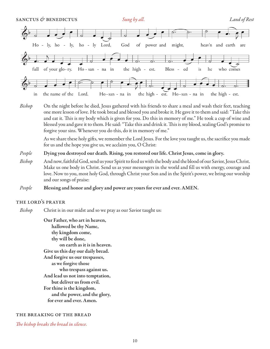

*Bishop* On the night before he died, Jesus gathered with his friends to share a meal and wash their feet, teaching one more lesson of love. He took bread and blessed you and broke it. He gave it to them and said: "Take this and eat it. This is my body which is given for you. Do this in memory of me." He took a cup of wine and blessed you and gave it to them. He said: "Take this and drink it. This is my blood, sealing God's promise to forgive your sins. Whenever you do this, do it in memory of me."

As we share these holy gifts, we remember the Lord Jesus. For the love you taught us, the sacrifice you made for us and the hope you give us, we acclaim you, O Christ:

*People* Dying you destroyed our death. Rising, you restored our life. Christ Jesus, come in glory.

- *Bishop* And now, faithful God, send us your Spirit to feed us with the body and the blood of our Savior, Jesus Christ. Make us one body in Christ. Send us as your messengers in the world and fill us with energy, courage and love. Now to you, most holy God, through Christ your Son and in the Spirit's power, we bring our worship and our songs of praise:
- *People* Blessing and honor and glory and power are yours for ever and ever. AMEN.

#### the lord's prayer

*Bishop* Christ is in our midst and so we pray as our Savior taught us:

Our Father, who art in heaven, hallowed be thy Name, thy kingdom come, thy will be done, on earth as it is in heaven. Give us this day our daily bread. And forgive us our trespasses, as we forgive those who trespass against us. And lead us not into temptation, but deliver us from evil. For thine is the kingdom, and the power, and the glory, for ever and ever. Amen.

#### the breaking of the bread

*The bishop breaks the bread in silence.*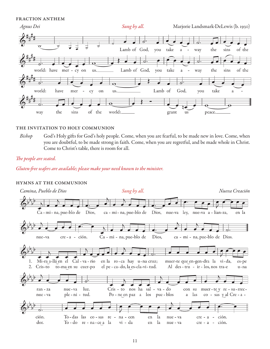#### fraction anthem



#### the invitation to holy communion

*Bishop* God's Holy gifts for God's holy people. Come, when you are fearful, to be made new in love. Come, when you are doubtful, to be made strong in faith. Come, when you are regretful, and be made whole in Christ. Come to Christ's table, there is room for all.

#### *The people are seated.*

*Gluten-free wafers are available; please make your need known to the minister.* 

#### hymns at the communion

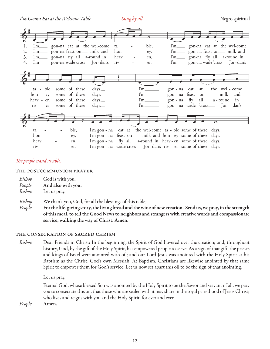

### *The people stand as able.*

#### the postcommunion prayer

| Bishop | God is with you. |
|--------|------------------|
|--------|------------------|

*People* And also with you.

*Bishop* Let us pray.

- *Bishop* We thank you, God, for all the blessings of this table;
- *People* For the life-giving story, the living bread and the wine of new creation. Send us, we pray, in the strength of this meal, to tell the Good News to neighbors and strangers with creative words and compassionate service, walking the way of Christ. Amen.

#### the consecration of sacred chrism

*Bishop* Dear Friends in Christ: In the beginning, the Spirit of God hovered over the creation; and, throughout history, God, by the gift of the Holy Spirit, has empowered people to serve. As a sign of that gift, the priests and kings of Israel were anointed with oil; and our Lord Jesus was anointed with the Holy Spirit at his Baptism as the Christ, God's own Messiah. At Baptism, Christians are likewise anointed by that same Spirit to empower them for God's service. Let us now set apart this oil to be the sign of that anointing.

Let us pray.

Eternal God, whose blessed Son was anointed by the Holy Spirit to be the Savior and servant of all, we pray you to consecrate this oil, that those who are sealed with it may share in the royal priesthood of Jesus Christ; who lives and reigns with you and the Holy Spirit, for ever and ever.

*People* Amen.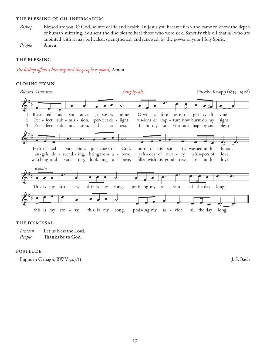#### the blessing of oil infirmarum

- *Bishop* Blessed are you, O God, source of life and health. In Jesus you became flesh and came to know the depth of human suffering. You sent the disciples to heal those who were sick. Sanctify this oil that all who are anointed with it may be healed, strengthened, and renewed, by the power of your Holy Spirit.
- *People* Amen.

#### the blessing

*The bishop offers a blessing and the people respond,* Amen*.*

#### closing hymn



#### THE DISMISSAL

*Deacon* Let us bless the Lord. *People* Thanks be to God.

#### **POSTLUDE**

Fugue in C major,  $BWV_{547}/II$  J. S. Bach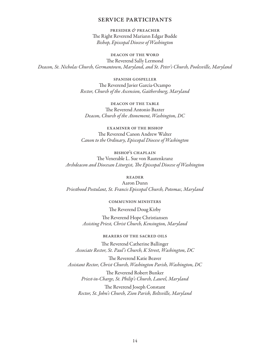#### service participants

presider *&* preacher The Right Reverend Mariann Edgar Budde *Bishop, Episcopal Diocese of Washington*

deacon of the word The Reverend Sally Lermond *Deacon, St. Nicholas Church, Germantown, Maryland, and St. Peter's Church, Poolesville, Maryland* 

> spanish gospeller The Reverend Javier García-Ocampo *Rector, Church of the Ascension, Gaithersburg, Maryland*

deacon of the table The Reverend Antonio Baxter *Deacon, Church of the Atonement, Washington, DC*

examiner of the bishop The Reverend Canon Andrew Walter *Canon to the Ordinary, Episcopal Diocese of Washington*

bishop's chaplain The Venerable L. Sue von Rautenkranz *Archdeacon and Diocesan Liturgist, The Episcopal Diocese of Washington* 

#### reader

Aaron Dunn *Priesthood Postulant, St. Francis Episcopal Church, Potomac, Maryland*

communion ministers

The Reverend Doug Kirby

The Reverend Hope Christiansen *Assisting Priest, Christ Church, Kensington, Maryland*

#### bearers of the sacred oils

The Reverend Catherine Ballinger *Associate Rector, St. Paul's Church, K Street, Washington, DC* 

The Reverend Katie Beaver *Assistant Rector, Christ Church, Washington Parish, Washington, DC*

The Reverend Robert Bunker *Priest-in-Charge, St. Philip's Church, Laurel, Maryland*

The Reverend Joseph Constant *Rector, St. John's Church, Zion Parish, Beltsville, Maryland*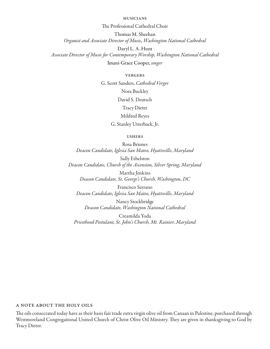#### musicians

The Professional Cathedral Choir

Thomas M. Sheehan *Organist and Associate Director of Music, Washington National Cathedral* 

Daryl L. A. Hunt *Associate Director of Music for Contemporary Worship, Washington National Cathedral* Imani-Grace Cooper, *singer* 

vergers

G. Scott Sanders, *Cathedral Verger* Nora Buckley David S. Deutsch Tracy Dieter Mildred Reyes G. Stanley Utterback, Jr.

**USHERS** 

Rosa Briones *Deacon Candidate, Iglesia San Mateo, Hyattsville, Maryland*

Sally Ethelston *Deacon Candidate, Church of the Ascension, Silver Spring, Maryland*

Martha Jenkins *Deacon Candidate, St. George's Church, Washington, DC*

Francisco Serrano *Deacon Candidate, Iglesia San Mateo, Hyattsville, Maryland*

Nancy Stockbridge *Deacon Candidate, Washington National Cathedral*

Creamilda Yoda *Priesthood Postulant, St. John's Church, Mt. Rainier, Maryland*

#### a note about the holy oils

The oils consecrated today have as their basis fair trade extra virgin olive oil from Canaan in Palestine, purchased through Westmoreland Congregational United Church of Christ Olive Oil Ministry. They are given in thanksgiving to God by Tracy Dieter.